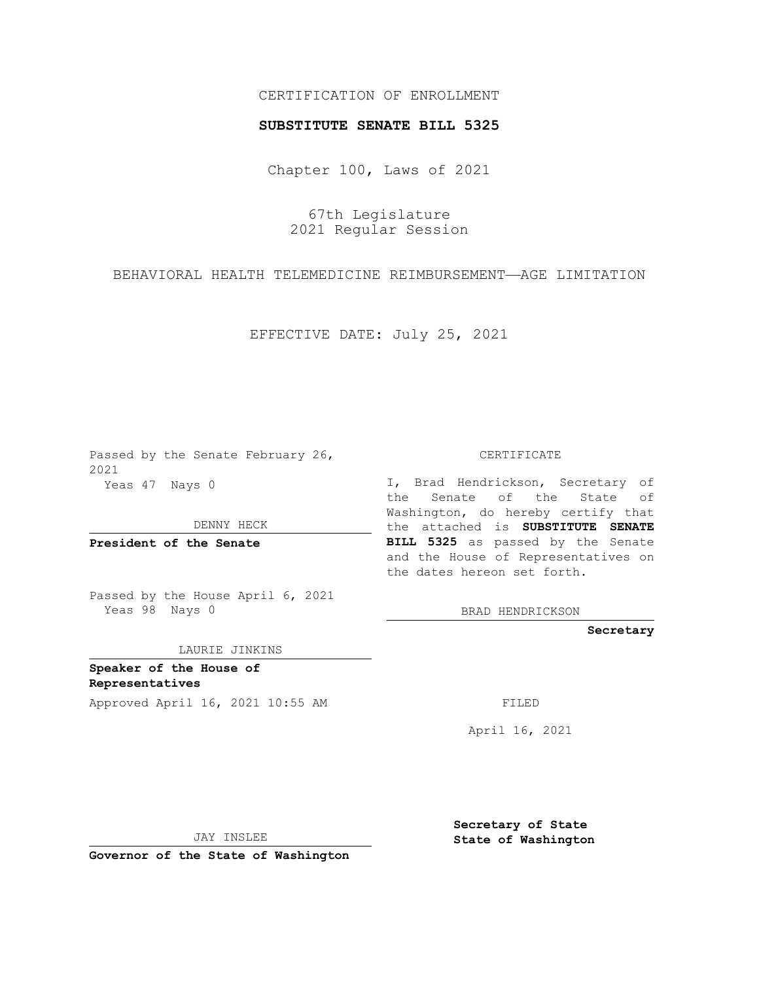## CERTIFICATION OF ENROLLMENT

## **SUBSTITUTE SENATE BILL 5325**

Chapter 100, Laws of 2021

67th Legislature 2021 Regular Session

BEHAVIORAL HEALTH TELEMEDICINE REIMBURSEMENT—AGE LIMITATION

EFFECTIVE DATE: July 25, 2021

Passed by the Senate February 26, 2021 Yeas 47 Nays 0

DENNY HECK

**President of the Senate**

Passed by the House April 6, 2021 Yeas 98 Nays 0

LAURIE JINKINS

**Speaker of the House of Representatives** Approved April 16, 2021 10:55 AM

CERTIFICATE

I, Brad Hendrickson, Secretary of the Senate of the State of Washington, do hereby certify that the attached is **SUBSTITUTE SENATE BILL 5325** as passed by the Senate and the House of Representatives on the dates hereon set forth.

BRAD HENDRICKSON

**Secretary**

April 16, 2021

JAY INSLEE

**Governor of the State of Washington**

**Secretary of State State of Washington**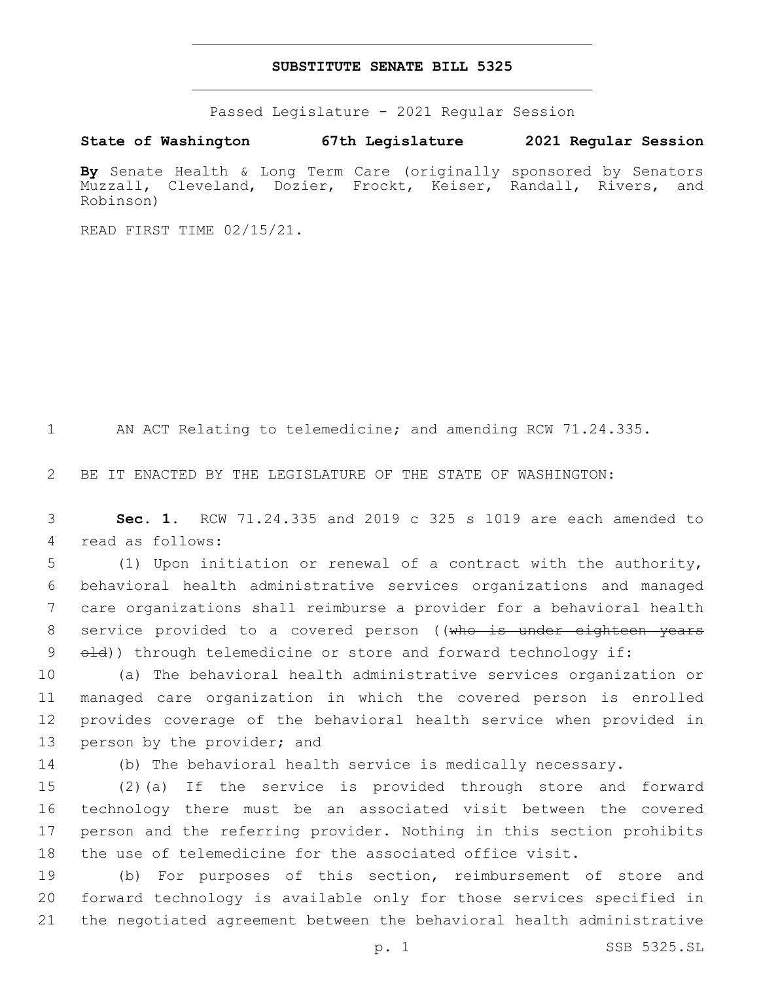## **SUBSTITUTE SENATE BILL 5325**

Passed Legislature - 2021 Regular Session

**State of Washington 67th Legislature 2021 Regular Session**

**By** Senate Health & Long Term Care (originally sponsored by Senators Muzzall, Cleveland, Dozier, Frockt, Keiser, Randall, Rivers, and Robinson)

READ FIRST TIME 02/15/21.

1 AN ACT Relating to telemedicine; and amending RCW 71.24.335.

2 BE IT ENACTED BY THE LEGISLATURE OF THE STATE OF WASHINGTON:

3 **Sec. 1.** RCW 71.24.335 and 2019 c 325 s 1019 are each amended to 4 read as follows:

5 (1) Upon initiation or renewal of a contract with the authority, 6 behavioral health administrative services organizations and managed 7 care organizations shall reimburse a provider for a behavioral health 8 service provided to a covered person ((who is under eighteen years 9 old)) through telemedicine or store and forward technology if:

 (a) The behavioral health administrative services organization or managed care organization in which the covered person is enrolled provides coverage of the behavioral health service when provided in 13 person by the provider; and

14 (b) The behavioral health service is medically necessary.

 (2)(a) If the service is provided through store and forward technology there must be an associated visit between the covered person and the referring provider. Nothing in this section prohibits the use of telemedicine for the associated office visit.

19 (b) For purposes of this section, reimbursement of store and 20 forward technology is available only for those services specified in 21 the negotiated agreement between the behavioral health administrative

p. 1 SSB 5325.SL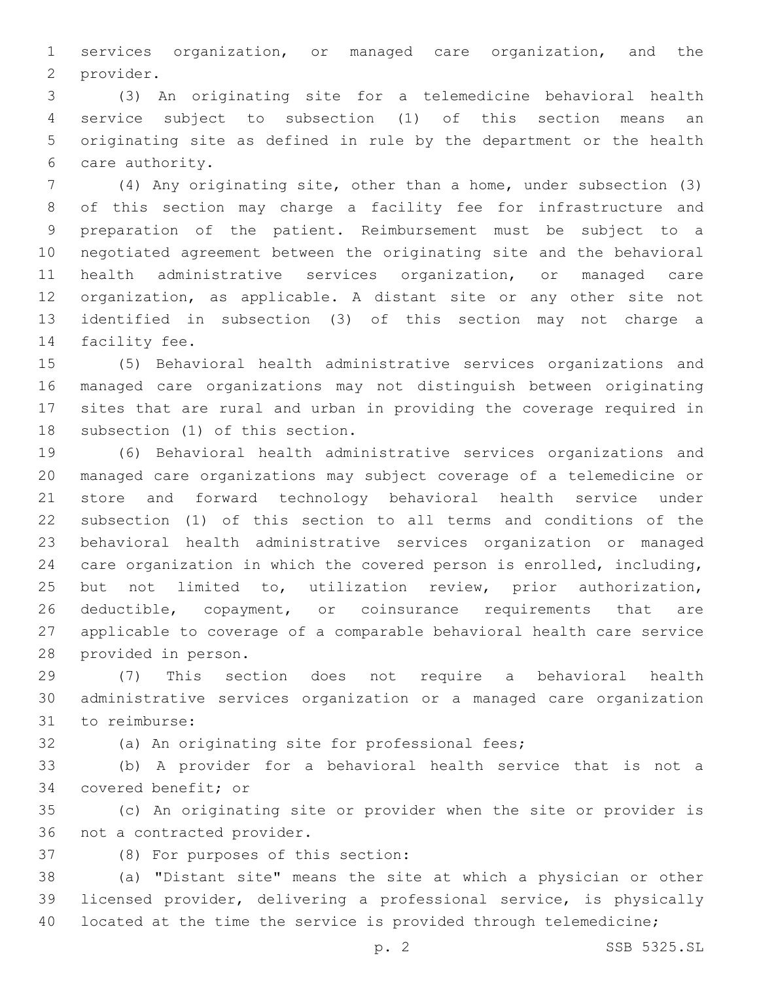services organization, or managed care organization, and the 2 provider.

 (3) An originating site for a telemedicine behavioral health service subject to subsection (1) of this section means an originating site as defined in rule by the department or the health care authority.6

 (4) Any originating site, other than a home, under subsection (3) of this section may charge a facility fee for infrastructure and preparation of the patient. Reimbursement must be subject to a negotiated agreement between the originating site and the behavioral health administrative services organization, or managed care organization, as applicable. A distant site or any other site not identified in subsection (3) of this section may not charge a 14 facility fee.

 (5) Behavioral health administrative services organizations and managed care organizations may not distinguish between originating sites that are rural and urban in providing the coverage required in 18 subsection (1) of this section.

 (6) Behavioral health administrative services organizations and managed care organizations may subject coverage of a telemedicine or store and forward technology behavioral health service under subsection (1) of this section to all terms and conditions of the behavioral health administrative services organization or managed care organization in which the covered person is enrolled, including, but not limited to, utilization review, prior authorization, 26 deductible, copayment, or coinsurance requirements that are applicable to coverage of a comparable behavioral health care service 28 provided in person.

 (7) This section does not require a behavioral health administrative services organization or a managed care organization 31 to reimburse:

(a) An originating site for professional fees;

 (b) A provider for a behavioral health service that is not a 34 covered benefit; or

 (c) An originating site or provider when the site or provider is 36 not a contracted provider.

37 (8) For purposes of this section:

 (a) "Distant site" means the site at which a physician or other licensed provider, delivering a professional service, is physically 40 located at the time the service is provided through telemedicine;

p. 2 SSB 5325.SL